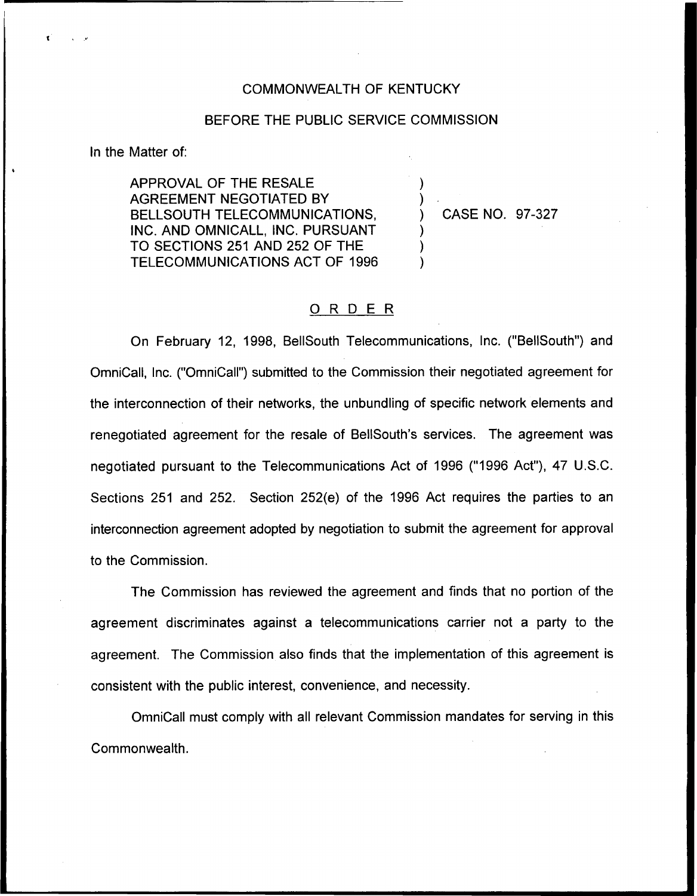## COMMONWEALTH OF KENTUCKY

## BEFORE THE PUBLIC SERVICE COMMISSION

)  $\overline{\phantom{a}}$ 

)  $\big)$ )

ln the Matter of:

APPROVAL OF THE RESALE AGREEMENT NEGOTIATED BY BELLSOUTH TELECOMMUNICATIONS, INC. AND OMNICALL, INC. PURSUANT TO SECTIONS 251 AND 252 OF THE TELECOMMUNICATIONS ACT OF 1996

) CASE NO. 97-327

## 0 <sup>R</sup> <sup>D</sup> <sup>E</sup> <sup>R</sup>

On February 12, 1998, BellSouth Telecommunications, Inc. ("BellSouth") and OmniCall, Inc. ("OmniCall") submitted to the Commission their negotiated agreement for the interconnection of their networks, the unbundling of specific network elements and renegotiated agreement for the resale of BellSouth's services. The agreement was negotiated pursuant to the Telecommunications Act of 1996 ("1996 Act"), 47 U.S.C. Sections 251 and 252. Section 252(e) of the 1996 Act requires the parties to an interconnection agreement adopted by negotiation to submit the agreement for approval to the Commission.

The Commission has reviewed the agreement and finds that no portion of the agreement discriminates against a telecommunications carrier not a party to the agreement. The Commission also finds that the implementation of this agreement is consistent with the public interest, convenience, and necessity.

OmniCall must comply with all relevant Commission mandates for serving in this Commonwealth.